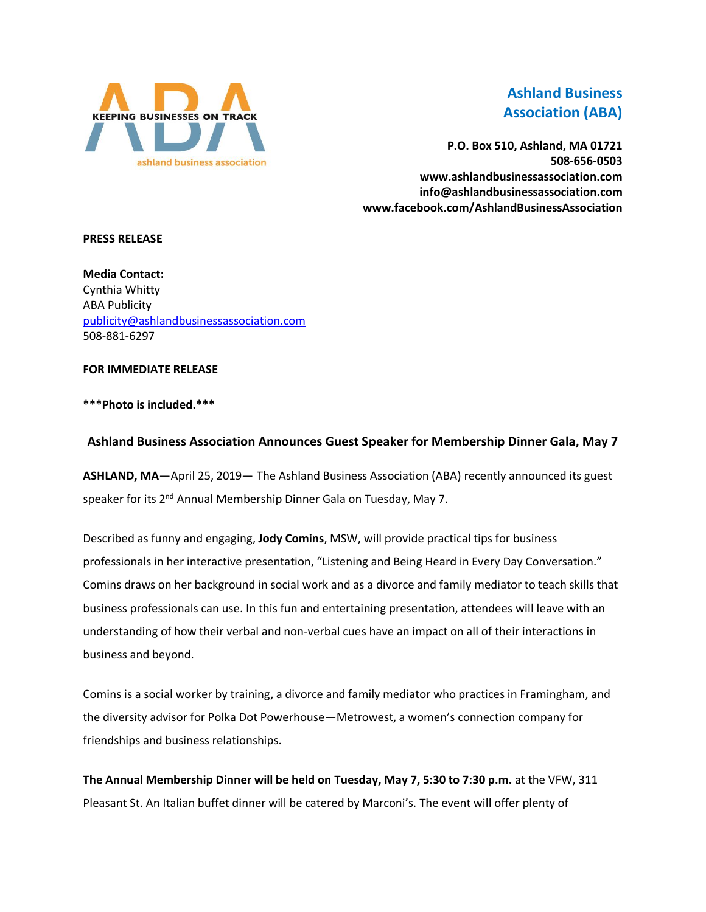

# **Ashland Business Association (ABA)**

**P.O. Box 510, Ashland, MA 01721 508-656-0503 www.ashlandbusinessassociation.com info@ashlandbusinessassociation.com www.facebook.com/AshlandBusinessAssociation**

### **PRESS RELEASE**

**Media Contact:** Cynthia Whitty ABA Publicity [publicity@ashlandbusinessassociation.com](mailto:publicity@ashlandbusinessassociation.com) 508-881-6297

## **FOR IMMEDIATE RELEASE**

### **\*\*\*Photo is included.\*\*\***

# **Ashland Business Association Announces Guest Speaker for Membership Dinner Gala, May 7**

**ASHLAND, MA**—April 25, 2019— The Ashland Business Association (ABA) recently announced its guest speaker for its 2<sup>nd</sup> Annual Membership Dinner Gala on Tuesday, May 7.

Described as funny and engaging, **Jody Comins**, MSW, will provide practical tips for business professionals in her interactive presentation, "Listening and Being Heard in Every Day Conversation." Comins draws on her background in social work and as a divorce and family mediator to teach skills that business professionals can use. In this fun and entertaining presentation, attendees will leave with an understanding of how their verbal and non-verbal cues have an impact on all of their interactions in business and beyond.

Comins is a social worker by training, a divorce and family mediator who practices in Framingham, and the diversity advisor for Polka Dot Powerhouse—Metrowest, a women's connection company for friendships and business relationships.

**The Annual Membership Dinner will be held on Tuesday, May 7, 5:30 to 7:30 p.m.** at the VFW, 311 Pleasant St. An Italian buffet dinner will be catered by Marconi's. The event will offer plenty of